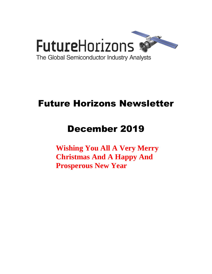

# Future Horizons Newsletter

# December 2019

**Wishing You All A Very Merry Christmas And A Happy And Prosperous New Year**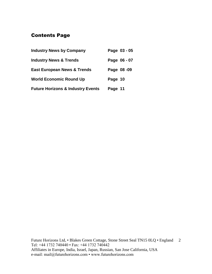# Contents Page

| <b>Industry News by Company</b>              |         | Page 03 - 05 |
|----------------------------------------------|---------|--------------|
| <b>Industry News &amp; Trends</b>            |         | Page 06 - 07 |
| <b>East European News &amp; Trends</b>       |         | Page 08-09   |
| <b>World Economic Round Up</b>               | Page 10 |              |
| <b>Future Horizons &amp; Industry Events</b> | Page 11 |              |

Future Horizons Ltd, • Blakes Green Cottage, Stone Street Seal TN15 0LQ • England 2 Tel: +44 1732 740440 • Fax: +44 1732 740442 Affiliates in Europe, India, Israel, Japan, Russian, San Jose California, USA e-mail: mail@futurehorizons.com • www.futurehorizons.com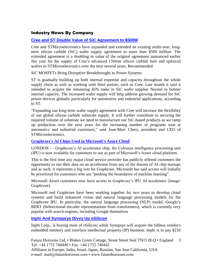# Industry News By Company

# **[Cree and ST Double Value of SiC Agreement to \\$500M](https://www.eetimes.com/document.asp?doc_id=1335309&_mc=RSS_EET_EDT&utm_source=newsletter&utm_campaign=link&utm_medium=EETimesDaily-20191120)**

Cree and STMicroelectronics have expanded and extended an existing multi-year, longterm silicon carbide (SiC) wafer supply agreement to more than \$500 million. The extended agreement is a doubling in value of the original agreement announced earlier this year for the supply of Cree's advanced 150mm silicon carbide bare and epitaxial wafers to STMicroelectronics over the next several years. Recommended

SiC MOSFETs Bring Disruptive Breakthroughs to Power Systems

ST is gradually building up both internal expertise and capacity throughout the whole supply chain as well as working with third parties, such as Cree. Last month it said it intended to acquire the remaining 45% stake in SiC wafer supplier Norstel to bolster internal capacity. The increased wafer supply will help address growing demand for SiC power devices globally particularly for automotive and industrial applications, according to ST.

"Expanding our long-term wafer supply agreement with Cree will increase the flexibility of our global silicon carbide substrate supply. It will further contribute to securing the required volume of substrate we need to manufacture our SiC-based products as we ramp up production over the next years for the increasing number of programs won at automotive and industrial customers," said Jean-Marc Chery, president and CEO of STMicroelectronics.

#### **[Graphcore's AI Chips Used in Microsoft's Azure Cloud](https://www.eetindia.co.in/news/article/Graphcores-AI-Chips-Used-in-Microsofts-Azure-Cloud?utm_source=EETI%20Article%20Alert&utm_medium=Email&utm_campaign=2019-11-19)**

LONDON — Graphcore's AI accelerator chip, the Colossus intelligence processing unit (IPU) is now available for customers to use as part of Microsoft's Azure cloud platform.

This is the first time any major cloud service provider has publicly offered customers the opportunity to run their data on an accelerator from any of the dozens of AI chip startups and as such, it represents a big win for Graphcore. Microsoft has said access will initially be prioritised for customers who are "pushing the boundaries of machine learning".

Microsoft Azure customers now have access to Graphcore's IPU AI accelerator (Image: Graphcore)

Microsoft and Graphcore have been working together for two years to develop cloud systems and build enhanced vision and natural language processing models for the Graphcore IPU. In particular, the natural language processing (NLP) model, Google's BERT (bidirectional encoder representations from transformers), which is currently very popular with search engines, including Google themselves

#### **[Inphi And Synopsys Divvy Up eSilicon](https://www.eetimes.com/document.asp?doc_id=1335287&_mc=RSS_EET_EDT&utm_source=newsletter&utm_campaign=link&utm_medium=EETimesMemory-20191126)**

Inphi Corp., is buying most of eSilicon; while Synopsys will acquire the fabless vendor's embedded memory and interface intellectual property (IP) business. Inphi is to pay \$216

Future Horizons Ltd, • Blakes Green Cottage, Stone Street Seal TN15 0LQ • England Tel: +44 1732 740440 • Fax: +44 1732 740442 3

Affiliates in Europe, India, Israel, Japan, Russian, San Jose California, USA e-mail: mail@futurehorizons.com • www.futurehorizons.com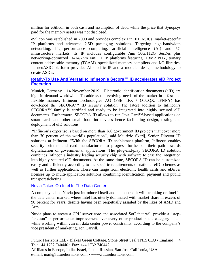million for eSilicon in both cash and assumption of debt, while the price that Synopsys paid for the memory assets was not disclosed.

eSilicon was established in 2000 and provides complex FinFET ASICs, market-specific IP platforms and advanced 2.5D packaging solutions. Targeting high-bandwidth networking, high-performance computing, artificial intelligence (AI) and 5G infrastructure markets, its IP includes configurable 7nm 56G/112G SerDes plus networking-optimized 16/14/7nm FinFET IP platforms featuring HBM2 PHY, ternary content-addressable memory (TCAM), specialized memory compilers and I/O libraries. Its neuASIC platform provides AI-specific IP and a modular design methodology to create ASICs.

## **[Ready-To Use And Versatile: Infineon's Secora™ ID accelerates eID Project](https://www.infineon.com/cms/en/about-infineon/press/market-news/2019/INFDSS201911-009.html)  [Execution](https://www.infineon.com/cms/en/about-infineon/press/market-news/2019/INFDSS201911-009.html)**

Munich, Germany – 14 November 2019 – Electronic identification documents (eID) are high in demand worldwide. To address the evolving needs of the market in a fast and flexible manner, Infineon Technologies AG (FSE: IFX / OTCQX: IFNNY) has developed the SECORA™ ID security solution. The latest addition to Infineon's SECORA™ family is certified and ready to be integrated into highly secured eID documents. Furthermore, SECORA ID allows to run Java Card™-based applications on smart cards and other small footprint devices hence facilitating design, testing and deployment of eID solutions.

"Infineon's expertise is based on more than 160 government ID projects that cover more than 70 percent of the world's population", said Maurizio Skerlj, Senior Director ID solutions at Infineon. "With the SECORA ID enablement platform, Infineon enables security printers and card manufacturers to progress further on their path towards digitalization of governmental applications."The plug-and-play SECORA ID solution combines Infineon's industry leading security chip with software to ease the integration into highly secured eID documents. At the same time, SECORA ID can be customized easily and efficiently according to the specific requirements of national eID schemes as well as further applications. These can range from electronic health cards and eDriver licenses up to multi-application solutions combining identification, payment and public transport ticketing.

#### [Nuvia Takes On Intel In The Data Center](https://www.eetindia.co.in/news/article/Nuvia-Takes-on-Intel-in-the-Data-Center?utm_source=EETI%20Article%20Alert&utm_medium=Email&utm_campaign=2019-11-19)

A company called Nuvia just introduced itself and announced it will be taking on Intel in the data center market, where Intel has utterly dominated with market share in excess of 90 percent for years, despite having been perpetually assailed by the likes of AMD and Arm.

Nuvia plans to create a CPU server core and associated SoC that will provide a "stepfunction" in performance improvement over every other product in the category — all while working within current data center power constraints, according to the company's vice president of marketing, Jon Carvill.

Future Horizons Ltd, • Blakes Green Cottage, Stone Street Seal TN15 0LQ • England 4 Tel: +44 1732 740440 • Fax: +44 1732 740442 Affiliates in Europe, India, Israel, Japan, Russian, San Jose California, USA e-mail: mail@futurehorizons.com • www.futurehorizons.com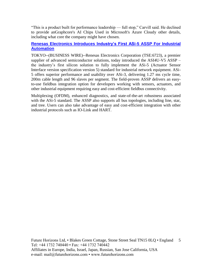"This is a product built for performance leadership — full stop," Carvill said. He declined to provide anGraphcore's AI Chips Used in Microsoft's Azure Cloudy other details, including what core the company might have chosen.

# **[Renesas Electronics Introduces Industry's First ASi-5 ASSP For Industrial](https://www.businesswire.com/news/home/20191120005166/en/Renesas-Electronics-Introduces-Industry%E2%80%99s-ASi-5-ASSP-Industrial)  [Automation](https://www.businesswire.com/news/home/20191120005166/en/Renesas-Electronics-Introduces-Industry%E2%80%99s-ASi-5-ASSP-Industrial)**

TOKYO--(BUSINESS WIRE)--Renesas Electronics Corporation (TSE:6723), a premier supplier of advanced semiconductor solutions, today introduced the ASI4U-V5 ASSP – the industry's first silicon solution to fully implement the ASi-5 (Actuator Sensor Interface version specification version 5) standard for industrial network equipment. ASi-5 offers superior performance and usability over ASi-3, delivering 1.27 ms cycle time, 200m cable length and 96 slaves per segment. The field-proven ASSP delivers an easyto-use fieldbus integration option for developers working with sensors, actuators, and other industrial equipment requiring easy and cost-efficient fieldbus connectivity.

Multiplexing (OFDM), enhanced diagnostics, and state-of-the-art robustness associated with the ASi-5 standard. The ASSP also supports all bus topologies, including line, star, and tree. Users can also take advantage of easy and cost-efficient integration with other industrial protocols such as IO-Link and HART.

Future Horizons Ltd, • Blakes Green Cottage, Stone Street Seal TN15 0LQ • England 5 Tel: +44 1732 740440 • Fax: +44 1732 740442 Affiliates in Europe, India, Israel, Japan, Russian, San Jose California, USA e-mail: mail@futurehorizons.com • www.futurehorizons.com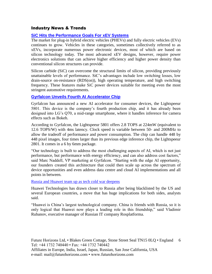## Industry News & Trends

# **[SiC Hits the Performance Goals For xEV Systems](https://www.eetimes.com/document.asp?doc_id=1335301&_mc=RSS_EET_EDT&utm_source=newsletter&utm_campaign=link&utm_medium=EETimesDaily-20191118)**

The market for plug-in hybrid electric vehicles (PHEVs) and fully electric vehicles (EVs) continues to grow. Vehicles in these categories, sometimes collectively referred to as xEVs, incorporate numerous power electronic devices, most of which are based on silicon technology today. The most advanced xEV designs, however, require power electronics solutions that can achieve higher efficiency and higher power density than conventional silicon structures can provide.

Silicon carbide (SiC) can overcome the structural limits of silicon, providing previously unattainable levels of performance. SiC's advantages include low switching losses, low drain-source on-resistance (RDS(on)), high operating temperature, and high switching frequency. These features make SiC power devices suitable for meeting even the most stringent automotive requirements.

## **[Gyrfalcon Unveils Fourth AI Accelerator Chip](https://www.eetimes.com/document.asp?doc_id=1335299&_mc=RSS_EET_EDT&utm_source=newsletter&utm_campaign=link&utm_medium=EETimesDaily-20191118)**

Gyrfalcon has announced a new AI accelerator for consumer devices, the Lightspeeur 5801. This device is the company's fourth production chip, and it has already been designed into LG's Q70, a mid-range smartphone, where it handles inference for camera effects such as Bokeh.

According to Gyrfalcon, the Lightspeeur 5801 offers 2.8 TOPS at 224mW (equivalent to 12.6 TOPS/W) with 4ms latency. Clock speed is variable between 50- and 200MHz to allow the tradeoff of performance and power consumption. The chip can handle 448 by 448 pixel images, four times larger than its previous edge inference chip, the Lightspeeur 2801. It comes in a 6 by 6mm package.

"Our technology is built to address the most challenging aspects of AI, which is not just performance, but performance with energy efficiency, and can also address cost factors," said Marc Naddell, VP marketing at Gyrfalcon. "Starting with the edge AI opportunity, our founders created this architecture that could then scale up across the spectrum of device opportunities and even address data centre and cloud AI implementations and all points in between.

#### [Russia and Huawei team up as tech cold war deepens](https://www.ft.com/content/040252f0-fc4c-11e9-98fd-4d6c20050229?desktop=true&segmentId=7c8f09b9-9b61-4fbb-9430-9208a9e233c8#myft:notification:daily-email:content)

Huawei Technologies has drawn closer to Russia after being blacklisted by the US and several European countries, a move that has huge implications for both sides, analysts said.

"Huawei is China's largest technological company. China is friends with Russia, so it is only logical that Huawei now plays a leading role in this friendship," said Vladimir Rubanov, executive manager of Russian IT company Rosplatforma.

Future Horizons Ltd, • Blakes Green Cottage, Stone Street Seal TN15 0LQ • England 6 Tel: +44 1732 740440 • Fax: +44 1732 740442 Affiliates in Europe, India, Israel, Japan, Russian, San Jose California, USA e-mail: mail@futurehorizons.com • www.futurehorizons.com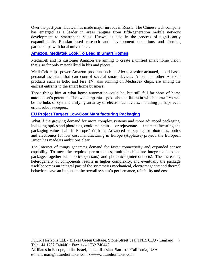Over the past year, Huawei has made major inroads in Russia. The Chinese tech company has emerged as a leader in areas ranging from fifth-generation mobile network development to smartphone sales. Huawei is also in the process of significantly expanding its Russian-based research and development operations and forming partnerships with local universities.

# **Amazon, Mediatek Look [To Lead In Smart Homes](https://www.eetindia.co.in/news/article/Amazon-Mediatek-Look-to-Lead-in-Smart-Homes?utm_source=EETI%20Article%20Alert&utm_medium=Email&utm_campaign=2019-11-20)**

MediaTek and its customer Amazon are aiming to create a unified smart home vision that's so far only materialized in bits and pieces.

MediaTek chips power Amazon products such as Alexa, a voice-actuated, cloud-based personal assistant that can control several smart devices. Alexa and other Amazon products such as Echo and Fire TV, also running on MediaTek chips, are among the earliest entrants to the smart home business.

Those things hint at what home automation could be, but still fall far short of home automation's potential. The two companies spoke about a future in which home TVs will be the hubs of systems unifying an array of electronics devices, including perhaps even errant robot sweepers.

## **[EU Project Targets Low-Cost Manufacturing Packaging](https://www.eetimes.com/document.asp?doc_id=1335324&_mc=RSS_EET_EDT&utm_source=newsletter&utm_campaign=link&utm_medium=EETimesDaily-20191126)**

What if the growing demand for more complex systems and more advanced packaging, including optics and photonics, could maintain — or rejuvenate — the manufacturing and packaging value chain in Europe? With the Advanced packaging for photonics, optics and electronics for low cost manufacturing in Europe (Applause) project, the European Union has made its ambitions clear.

The Internet of things generates demand for faster connectivity and expanded sensor capability. To meet the required performances, multiple chips are integrated into one package, together with optics (sensors) and photonics (interconnects). The increasing heterogeneity of components results in higher complexity, and eventually the package itself becomes an integral part of the system: its mechanical, electromagnetic and thermal behaviors have an impact on the overall system's performance, reliability and cost.

Future Horizons Ltd, • Blakes Green Cottage, Stone Street Seal TN15 0LQ • England 7 Tel: +44 1732 740440 • Fax: +44 1732 740442 Affiliates in Europe, India, Israel, Japan, Russian, San Jose California, USA e-mail: mail@futurehorizons.com • www.futurehorizons.com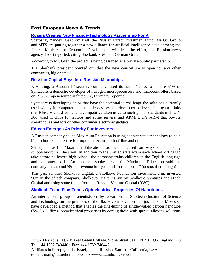# East European News & Trends

## **[Russia Creates New Finance-Technology Partnership For A](http://www.marchmontnews.com/Technology-Innovation/Central-regions/22288-Russia-creates-new-finance-technology-partnership-for-AI.html)**

Sberbank, Yandex, Gazprom Neft, the Russian Direct Investment Fund, Mail.ru Group and MTS are putting together a new alliance for artificial intelligence development; the federal Ministry for Economic Development will lead the effort, the Russian news agency TASS reported, citing Sberbank President German Gref.

According to Mr. Gref, the project is being designed as a private-public partnership.

The Sberbank president pointed out that the new consortium is open for any other companies, big or small.

#### **[Russian Capital Buys Into Russian Microchips](http://www.marchmontnews.com/Finance-Business/Central-regions/22280-Russian-capital-buys-into-Russian-microchips.html)**

X-Holding, a Russian IT security company, used its asset, Yadro, to acquire 51% of Syntacore, a domestic developer of next gen microprocessors and microcontrollers based on RISC-V open-source architecture, Firrma.ru reported.

Syntacore is developing chips that have the potential to challenge the solutions currently used widely in computers and mobile devices, the developer believes. The team thinks that RISC-V could come as a competitive alternative to such global standards as Intel's x86, used in chips for laptops and some servers, and ARM, Ltd.'s ARM that powers smartphones and lots of other consumer electronic gadgets

#### **[Edtech Emerges As Priority For Investors](http://www.marchmontnews.com/Finance-Business/Central-regions/22105-Edtech-emerges-as-priority-for-investors.html)**

A Russian company called Maximum Education is using sophisticated technology to help high school kids prepare for important exams both offline and online.

Set up in 2013, Maximum Education has been focused on ways of enhancing schoolchildren's education. In addition to the unified state exam each school kid has to take before he leaves high school, the company trains children in the English language and computer skills. An unnamed spokesperson for Maximum Education said the company had around \$8m in revenue last year and "posted profit" (unspecified though).

This past summer Skolkovo Digital, a Skolkovo Foundation investment arm, invested \$6m in the edtech company. Skolkovo Digital is run by Skolkovo Ventures and iTech Capital and using some funds from the Russian Venture Capital (RVC).

#### **[Skoltech Team Fine-Tunes Optoelectrical Properties Of Nanotubes](http://www.marchmontnews.com/Technology-Innovation/Central-regions/22143-Skoltech-team-fine-tunes-optoelectrical-properties-nanotubes.html)**

An international group of scientists led by researchers at Skoltech (Institute of Science and Technology on the premises of the Skolkovo innovation hub just outside Moscow) have developed a method that enables the fine-tuning of single-walled carbon nanotube (SWCNT) films' optoelectrical properties by doping those with special alloying solutions.

Future Horizons Ltd, • Blakes Green Cottage, Stone Street Seal TN15 0LQ • England 8 Tel: +44 1732 740440 • Fax: +44 1732 740442 Affiliates in Europe, India, Israel, Japan, Russian, San Jose California, USA e-mail: mail@futurehorizons.com • www.futurehorizons.com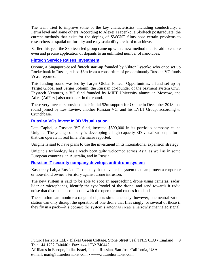The team tried to improve some of the key characteristics, including conductivity, a Fermi level and some others. According to Alexei Tsapenko, a Skoltech postgraduate, the current methods that exist for the doping of SWCNT films pose certain problems to researchers as spatial uniformity and easy scalability are hard to achieve.

Earlier this year the Skoltech-led group came up with a new method that is said to enable even and precise application of dopants to an unlimited number of nanotubes.

## **[Fintech Service Raises Investment](http://www.marchmontnews.com/Finance-Business/Central-regions/22335-Fintech-service-raises-investment-.html)**

Osome, a Singapore-based fintech start-up founded by Viktor Lysenko who once set up Rocketbank in Russia, raised \$3m from a consortium of predominantly Russian VC funds, Vc.ru reported.

This funding round was led by Target Global Fintech Opportunities, a fund set up by Target Global and Sergei Solonin, the Russian co-founder of the payment system Qiwi. Phystech Ventures, a VC fund founded by MIPT University alumni in Moscow, and Ad.ru (AdFirst) also took part in the round.

These very investors provided their initial \$2m support for Osome in December 2018 in a round joined by Lev Leviev, another Russian VC, and his LVL1 Group, according to Crunchbase.

#### **[Russian VCs invest In 3D Visualization](http://www.marchmontnews.com/Finance-Business/Central-regions/22356-Russian-VCs-invest-3D-visualization.html)**

Leta Capital, a Russian VC fund, invested \$500,000 in its portfolio company called Unigine. The young company is developing a high-capacity 3D visualization platform that can operate in real time, Firrma.ru reported.

Unigine is said to have plans to use the investment in its international expansion strategy.

Unigine's technology has already been quite welcomed across Asia, as well as in some European countries, in Australia, and in Russia.

#### **[Russian IT security company develops anti-drone system](http://www.marchmontnews.com/Technology-Innovation/Central-regions/22259-Russian-IT-security-company-develops-anti-drone-system.html)**

Kaspersky Lab, a Russian IT company, has unveiled a system that can protect a corporate or household owner's territory against drone intrusion.

The new system is said to be able to spot an approaching drone using cameras, radar, lidar or microphones, identify the type/model of the drone, and send towards it radio noise that disrupts its connection with the operator and causes it to land.

The solution can monitor a range of objects simultaneously; however, one neutralization station can only disrupt the operation of one drone that flies singly, or several of those if they fly in a pack—it's because the system's antennas create a narrowly channeled signal.

Future Horizons Ltd, • Blakes Green Cottage, Stone Street Seal TN15 0LQ • England 9 Tel: +44 1732 740440 • Fax: +44 1732 740442 Affiliates in Europe, India, Israel, Japan, Russian, San Jose California, USA e-mail: mail@futurehorizons.com • www.futurehorizons.com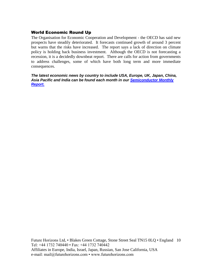# World Economic Round Up

The Organisation for Economic Cooperation and Development - the OECD has said new prospects have steadily deteriorated. It forecasts continued growth of around 3 percent but warns that the risks have increased. The report says a lack of direction on climate policy is holding back business investment. Although the OECD is not forecasting a recession, it is a decidedly downbeat report. There are calls for action from governments to address challenges, some of which have both long term and more immediate consequences.

*The latest economic news by country to include USA, Europe, UK, Japan, China, Asia Pacific and India can be found each month in our [Semiconductor Monthly](http://www.futurehorizons.com/page/18/Global-Semiconductor-Report)  [Report.](http://www.futurehorizons.com/page/18/Global-Semiconductor-Report)* 

Future Horizons Ltd, • Blakes Green Cottage, Stone Street Seal TN15 0LQ • England 10 Tel: +44 1732 740440 • Fax: +44 1732 740442 Affiliates in Europe, India, Israel, Japan, Russian, San Jose California, USA e-mail: mail@futurehorizons.com • www.futurehorizons.com